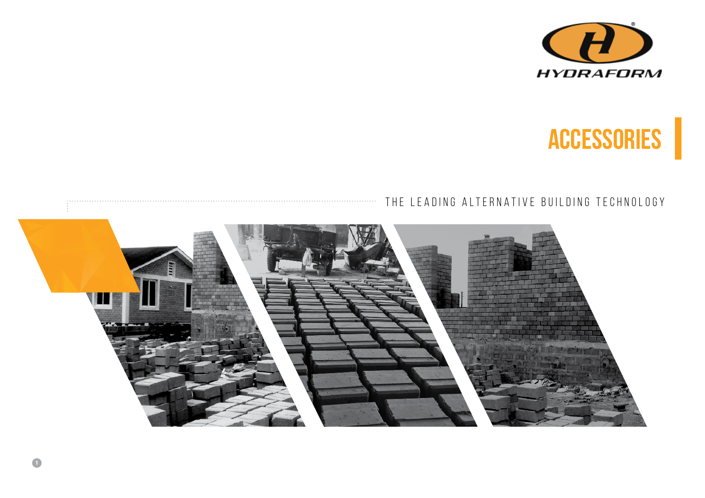



# THE LEADING ALTERNATIVE BUILDING TECHNOLOGY



. . . . . . . . . . .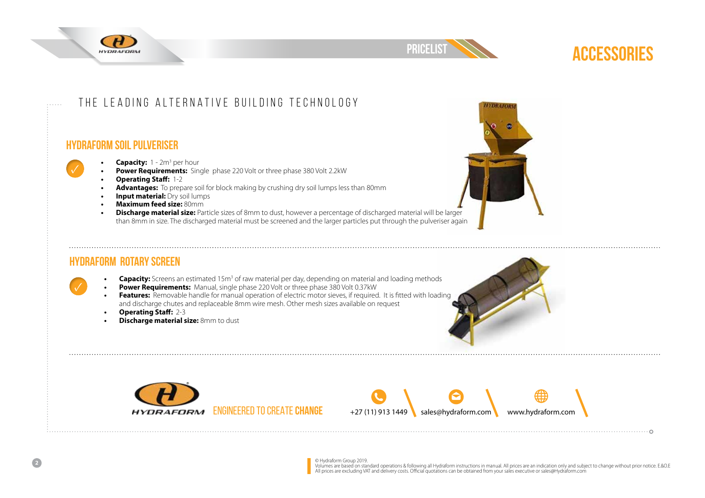



### The Leading Alternative building Technology

#### **Hydraform Soil PULVERISER**



- Capacity: 1 2m<sup>3</sup> per hour
- **• Power Requirements:** Single phase 220 Volt or three phase 380 Volt 2.2kW
- **• Operating Staff:** 1-2
- **• Advantages:** To prepare soil for block making by crushing dry soil lumps less than 80mm
- **Input material: Dry soil lumps**
- **• Maximum feed size:** 80mm
- **• Discharge material size:** Particle sizes of 8mm to dust, however a percentage of discharged material will be larger than 8mm in size. The discharged material must be screened and the larger particles put through the pulveriser again



### **Hydraform Rotary SCREEN**

- Capacity: Screens an estimated 15m<sup>3</sup> of raw material per day, depending on material and loading methods
- **• Power Requirements:** Manual, single phase 220 Volt or three phase 380 Volt 0.37kW
- **• Features:** Removable handle for manual operation of electric motor sieves, if required. It is fitted with loading and discharge chutes and replaceable 8mm wire mesh. Other mesh sizes available on request
- **• Operating Staff:** 2-3
- **Pischarge material size:** 8mm to dust









© Hydraform Group 2019.<br>Volumes are based on standard operations & following all Hydraform instructions in manual. All prices are an indication only and subject to change without prior notice. E.&O.E<br>All prices are excludi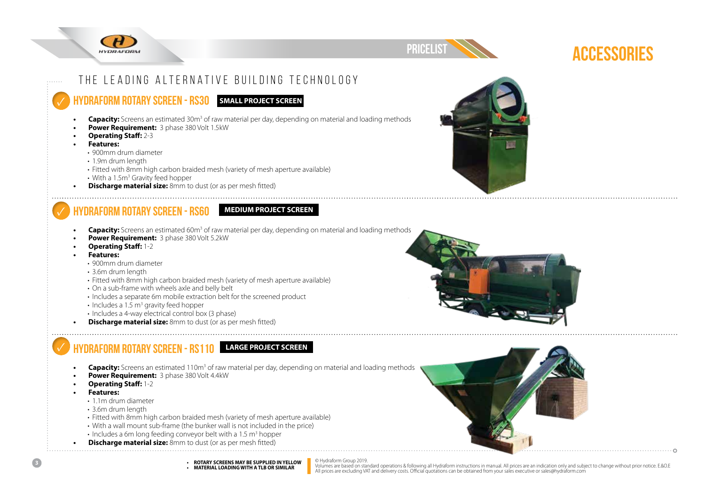



# The Leading Alternative building Technology

### **Hydraform ROTARY SCREEN - RS30 SMALL PROJECT SCREEN**

- **Capacity:** Screens an estimated 30m<sup>3</sup> of raw material per day, depending on material and loading methods
- **• Power Requirement:** 3 phase 380 Volt 1.5kW
- **• Operating Staff:** 2-3
- **• Features:**
- 900mm drum diameter
- 1.9m drum length
- Fitted with 8mm high carbon braided mesh (variety of mesh aperture available)
- $\boldsymbol{\cdot}$  With a 1.5m $^{\text{3}}$  Gravity feed hopper
- **Discharge material size:** 8mm to dust (or as per mesh fitted)

# **Hydraform ROTARY SCREEN - RS60 MEDIUM PROJECT SCREEN**

- 
- **Capacity:** Screens an estimated 60m<sup>3</sup> of raw material per day, depending on material and loading methods
- **• Power Requirement:** 3 phase 380 Volt 5.2kW
- **• Operating Staff:** 1-2
- **• Features:** 
	- 900mm drum diameter
	- 3.6m drum length
	- Fitted with 8mm high carbon braided mesh (variety of mesh aperture available)
	- On a sub-frame with wheels axle and belly belt
	- Includes a separate 6m mobile extraction belt for the screened product
	- Includes a 1.5  $\textsf{m}^{3}$  gravity feed hopper
	- Includes a 4-way electrical control box (3 phase)
- **Pischarge material size:** 8mm to dust (or as per mesh fitted)

# **Hydraform ROTARY SCREEN - RS110 LARGE PROJECT SCREEN**

- **Capacity:** Screens an estimated 110m<sup>3</sup> of raw material per day, depending on material and loading methods
- **• Power Requirement:** 3 phase 380 Volt 4.4kW
- **• Operating Staff:** 1-2
- **• Features:** 
	- 1.1m drum diameter
	- 3.6m drum length
	- Fitted with 8mm high carbon braided mesh (variety of mesh aperture available)
	- With a wall mount sub-frame (the bunker wall is not included in the price)
- Includes a 6m long feeding conveyor belt with a 1.5  $\mathrm{m}^{3}$  hopper
- **Discharge material size:** 8mm to dust (or as per mesh fitted)



**• ROTARY SCREENS MAY BE SUPPLIED IN YELLOW • MATERIAL LOADING WITH A TLB OR SIMILAR**



© Hydraform Group 2019.<br>Volumes are based on standard operations & following all Hydraform instructions in manual. All prices are an indication only and subject to change without prior notice. E.&O.E<br>All prices are excludi